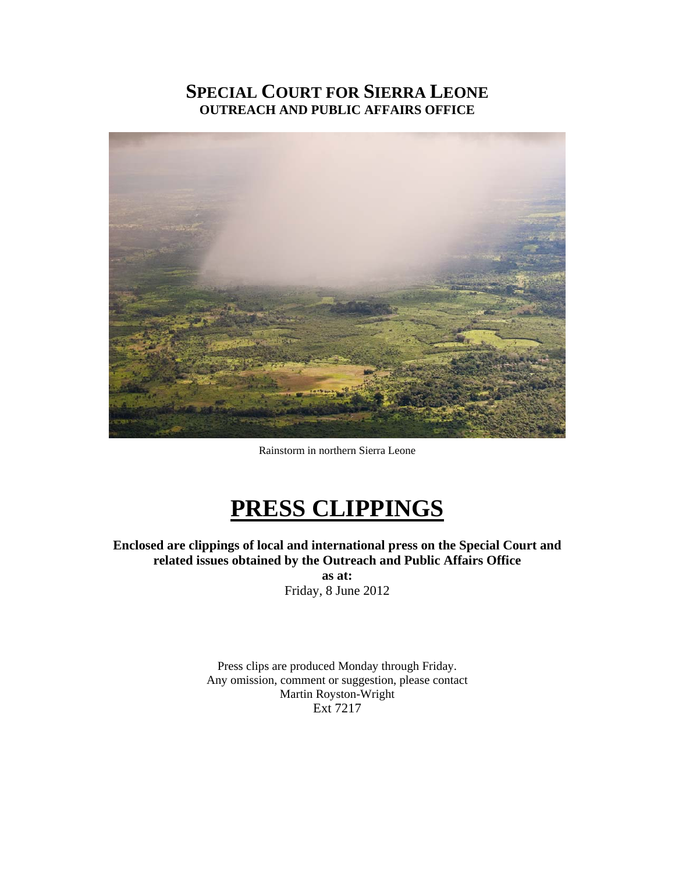# **SPECIAL COURT FOR SIERRA LEONE OUTREACH AND PUBLIC AFFAIRS OFFICE**



Rainstorm in northern Sierra Leone

# **PRESS CLIPPINGS**

**Enclosed are clippings of local and international press on the Special Court and related issues obtained by the Outreach and Public Affairs Office as at:** 

Friday, 8 June 2012

Press clips are produced Monday through Friday. Any omission, comment or suggestion, please contact Martin Royston-Wright Ext 7217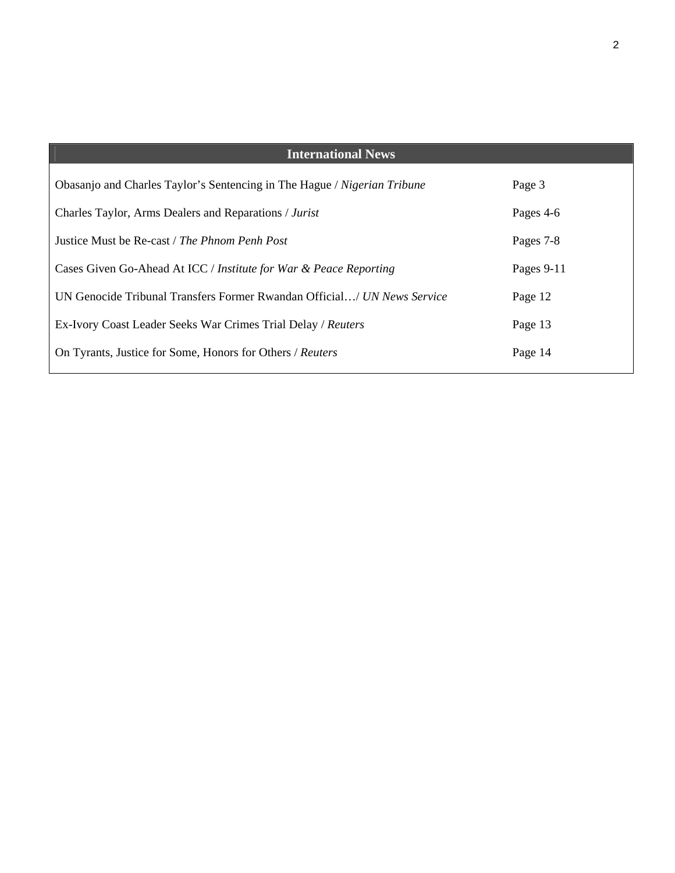| <b>International News</b>                                                |            |
|--------------------------------------------------------------------------|------------|
| Obasanjo and Charles Taylor's Sentencing in The Hague / Nigerian Tribune | Page 3     |
| Charles Taylor, Arms Dealers and Reparations / Jurist                    | Pages 4-6  |
| Justice Must be Re-cast / The Phnom Penh Post                            | Pages 7-8  |
| Cases Given Go-Ahead At ICC / Institute for War & Peace Reporting        | Pages 9-11 |
| UN Genocide Tribunal Transfers Former Rwandan Official/ UN News Service  | Page 12    |
| Ex-Ivory Coast Leader Seeks War Crimes Trial Delay / Reuters             | Page 13    |
| On Tyrants, Justice for Some, Honors for Others / Reuters                | Page 14    |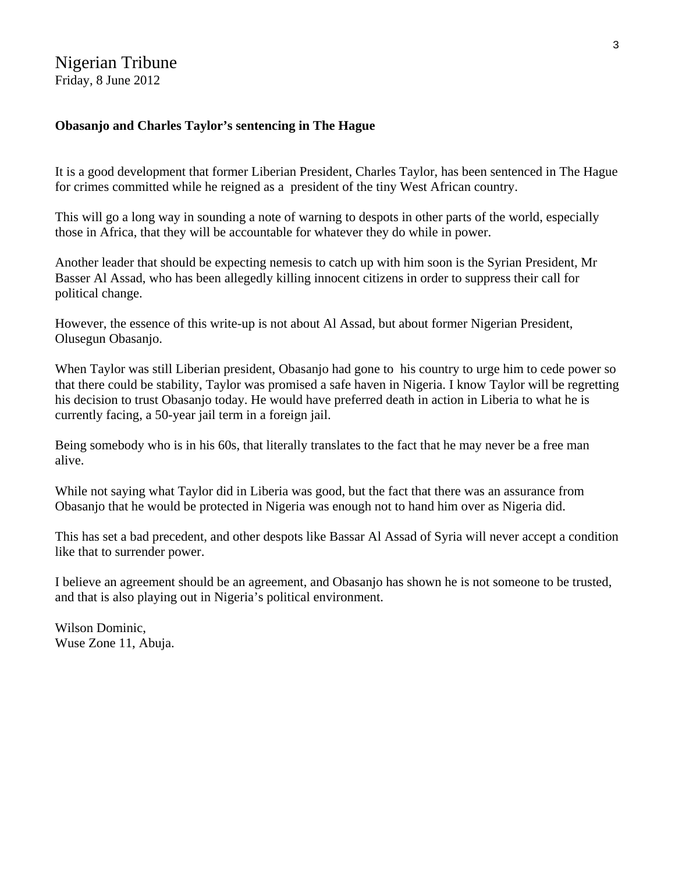### **Obasanjo and Charles Taylor's sentencing in The Hague**

It is a good development that former Liberian President, Charles Taylor, has been sentenced in The Hague for crimes committed while he reigned as a president of the tiny West African country.

This will go a long way in sounding a note of warning to despots in other parts of the world, especially those in Africa, that they will be accountable for whatever they do while in power.

Another leader that should be expecting nemesis to catch up with him soon is the Syrian President, Mr Basser Al Assad, who has been allegedly killing innocent citizens in order to suppress their call for political change.

However, the essence of this write-up is not about Al Assad, but about former Nigerian President, Olusegun Obasanjo.

When Taylor was still Liberian president, Obasanjo had gone to his country to urge him to cede power so that there could be stability, Taylor was promised a safe haven in Nigeria. I know Taylor will be regretting his decision to trust Obasanjo today. He would have preferred death in action in Liberia to what he is currently facing, a 50-year jail term in a foreign jail.

Being somebody who is in his 60s, that literally translates to the fact that he may never be a free man alive.

While not saying what Taylor did in Liberia was good, but the fact that there was an assurance from Obasanjo that he would be protected in Nigeria was enough not to hand him over as Nigeria did.

This has set a bad precedent, and other despots like Bassar Al Assad of Syria will never accept a condition like that to surrender power.

I believe an agreement should be an agreement, and Obasanjo has shown he is not someone to be trusted, and that is also playing out in Nigeria's political environment.

Wilson Dominic, Wuse Zone 11, Abuja.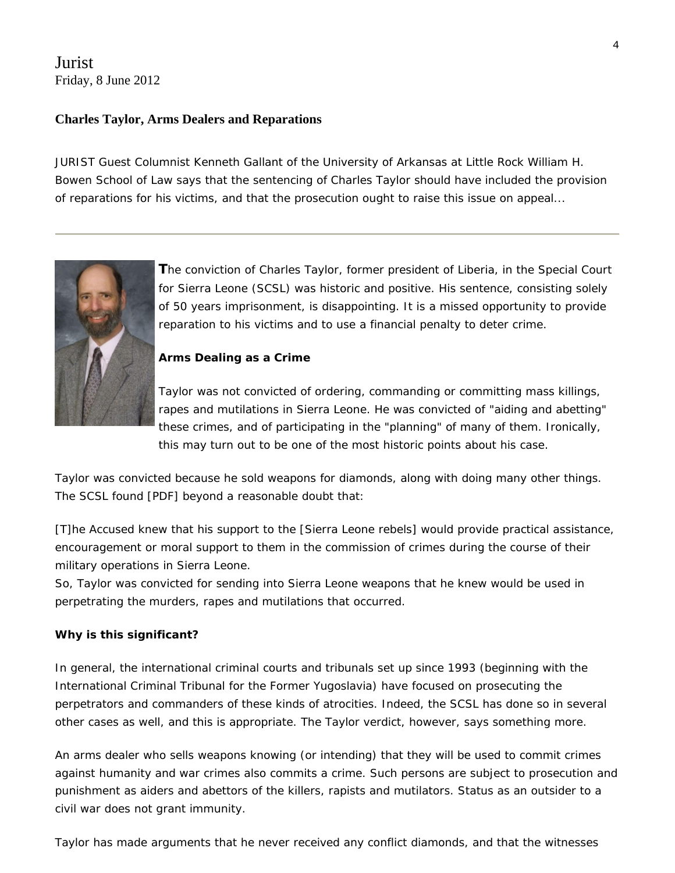## Jurist Friday, 8 June 2012

#### **Charles Taylor, Arms Dealers and Reparations**

JURIST Guest Columnist Kenneth Gallant of the University of Arkansas at Little Rock William H. Bowen School of Law says that the sentencing of Charles Taylor should have included the provision of reparations for his victims, and that the prosecution ought to raise this issue on appeal...



**T**he conviction of Charles Taylor, former president of Liberia, in the Special Court for Sierra Leone (SCSL) was historic and positive. His sentence, consisting solely of 50 years imprisonment, is disappointing. It is a missed opportunity to provide reparation to his victims and to use a financial penalty to deter crime.

#### **Arms Dealing as a Crime**

Taylor was not convicted of ordering, commanding or committing mass killings, rapes and mutilations in Sierra Leone. He was convicted of "aiding and abetting" these crimes, and of participating in the "planning" of many of them. Ironically, this may turn out to be one of the most historic points about his case.

Taylor was convicted because he sold weapons for diamonds, along with doing many other things. The SCSL [found](http://www.sc-sl.org/LinkClick.aspx?fileticket=86r0nQUtK08%3d&tabid=53) [PDF] beyond a reasonable doubt that:

[T]he Accused knew that his support to the [Sierra Leone rebels] would provide practical assistance, encouragement or moral support to them in the commission of crimes during the course of their military operations in Sierra Leone.

So, Taylor was convicted for sending into Sierra Leone weapons that he knew would be used in perpetrating the murders, rapes and mutilations that occurred.

#### **Why is this significant?**

In general, the international criminal courts and tribunals set up since 1993 (beginning with the International Criminal Tribunal for the Former Yugoslavia) have focused on prosecuting the perpetrators and commanders of these kinds of atrocities. Indeed, the SCSL has done so in several other [cases](http://www.sc-sl.org/CASES/tabid/71/Default.aspx) as well, and this is appropriate. The Taylor verdict, however, says something more.

An arms dealer who sells weapons knowing (or intending) that they will be used to commit crimes against humanity and war crimes also commits a crime. Such persons are subject to prosecution and punishment as aiders and abettors of the killers, rapists and mutilators. Status as an outsider to a civil war does not grant immunity.

Taylor has made arguments that he never received any conflict diamonds, and that the witnesses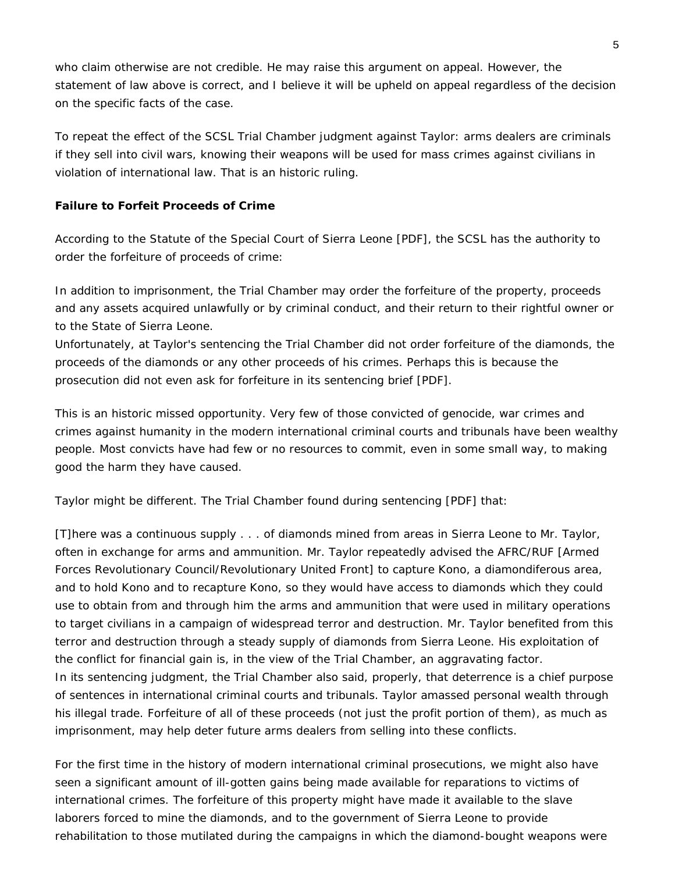who claim otherwise are not credible. He may raise this argument on appeal. However, the statement of law above is correct, and I believe it will be upheld on appeal regardless of the decision on the specific facts of the case.

To repeat the effect of the SCSL Trial Chamber judgment against Taylor: arms dealers are criminals if they sell into civil wars, knowing their weapons will be used for mass crimes against civilians in violation of international law. That is an historic ruling.

#### **Failure to Forfeit Proceeds of Crime**

According to the Statute of the Special Court of Sierra Leone [PDF], the SCSL has the authority to order the forfeiture of proceeds of crime:

In addition to imprisonment, the Trial Chamber may order the forfeiture of the property, proceeds and any assets acquired unlawfully or by criminal conduct, and their return to their rightful owner or to the State of Sierra Leone.

Unfortunately, at Taylor's sentencing the Trial Chamber did not order forfeiture of the diamonds, the proceeds of the diamonds or any other proceeds of his crimes. Perhaps this is because the prosecution did not even ask for forfeiture in its sentencing brief [PDF].

This is an historic missed opportunity. Very few of those convicted of genocide, war crimes and crimes against humanity in the modern international criminal courts and tribunals have been wealthy people. Most convicts have had few or no resources to commit, even in some small way, to making good the harm they have caused.

Taylor might be different. The Trial Chamber found during sentencing [PDF] that:

[T]here was a continuous supply . . . of diamonds mined from areas in Sierra Leone to Mr. Taylor, often in exchange for arms and ammunition. Mr. Taylor repeatedly advised the AFRC/RUF [Armed Forces Revolutionary Council/Revolutionary United Front] to capture Kono, a diamondiferous area, and to hold Kono and to recapture Kono, so they would have access to diamonds which they could use to obtain from and through him the arms and ammunition that were used in military operations to target civilians in a campaign of widespread terror and destruction. Mr. Taylor benefited from this terror and destruction through a steady supply of diamonds from Sierra Leone. His exploitation of the conflict for financial gain is, in the view of the Trial Chamber, an aggravating factor. In its sentencing judgment, the Trial Chamber also said, properly, that deterrence is a chief purpose of sentences in international criminal courts and tribunals. Taylor amassed personal wealth through his illegal trade. Forfeiture of all of these proceeds (not just the profit portion of them), as much as imprisonment, may help deter future arms dealers from selling into these conflicts.

For the first time in the history of modern international criminal prosecutions, we might also have seen a significant amount of ill-gotten gains being made available for reparations to victims of international crimes. The forfeiture of this property might have made it available to the slave laborers forced to mine the diamonds, and to the government of Sierra Leone to provide rehabilitation to those mutilated during the campaigns in which the diamond-bought weapons were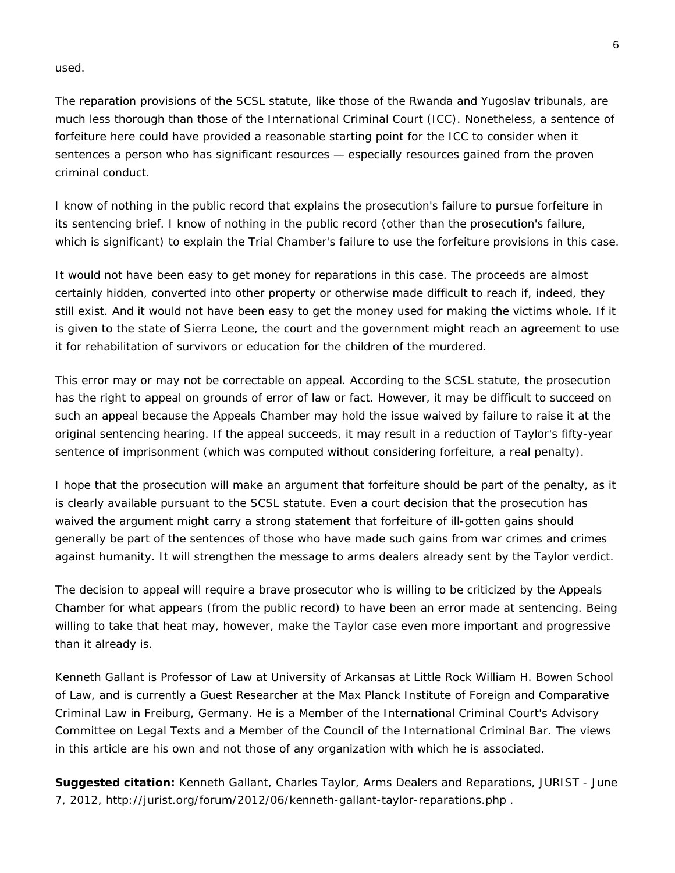used.

The reparation provisions of the SCSL statute, like those of the Rwanda and Yugoslav tribunals, are much less thorough than those of the International Criminal Court (ICC). Nonetheless, a sentence of forfeiture here could have provided a reasonable starting point for the ICC to consider when it sentences a person who has significant resources — especially resources gained from the proven criminal conduct.

I know of nothing in the public record that explains the prosecution's failure to pursue forfeiture in its sentencing brief. I know of nothing in the public record (other than the prosecution's failure, which is significant) to explain the Trial Chamber's failure to use the forfeiture provisions in this case.

It would not have been easy to get money for reparations in this case. The proceeds are almost certainly hidden, converted into other property or otherwise made difficult to reach if, indeed, they still exist. And it would not have been easy to get the money used for making the victims whole. If it is given to the state of Sierra Leone, the court and the government might reach an agreement to use it for rehabilitation of survivors or education for the children of the murdered.

This error may or may not be correctable on appeal. According to the SCSL statute, the prosecution has the right to appeal on grounds of error of law or fact. However, it may be difficult to succeed on such an appeal because the Appeals Chamber may hold the issue waived by failure to raise it at the original sentencing hearing. If the appeal succeeds, it may result in a reduction of Taylor's fifty-year sentence of imprisonment (which was computed without considering forfeiture, a real penalty).

I hope that the prosecution will make an argument that forfeiture should be part of the penalty, as it is clearly available pursuant to the SCSL statute. Even a court decision that the prosecution has waived the argument might carry a strong statement that forfeiture of ill-gotten gains should generally be part of the sentences of those who have made such gains from war crimes and crimes against humanity. It will strengthen the message to arms dealers already sent by the Taylor verdict.

The decision to appeal will require a brave prosecutor who is willing to be criticized by the Appeals Chamber for what appears (from the public record) to have been an error made at sentencing. Being willing to take that heat may, however, make the Taylor case even more important and progressive than it already is.

*Kenneth Gallant is Professor of Law at University of Arkansas at Little Rock William H. Bowen School of Law, and is currently a Guest Researcher at the Max Planck Institute of Foreign and Comparative Criminal Law in Freiburg, Germany. He is a Member of the International Criminal Court's Advisory Committee on Legal Texts and a Member of the Council of the International Criminal Bar. The views in this article are his own and not those of any organization with which he is associated.*

**Suggested citation:** Kenneth Gallant, *Charles Taylor, Arms Dealers and Reparations*, JURIST - June 7, 2012, http://jurist.org/forum/2012/06/kenneth-gallant-taylor-reparations.php .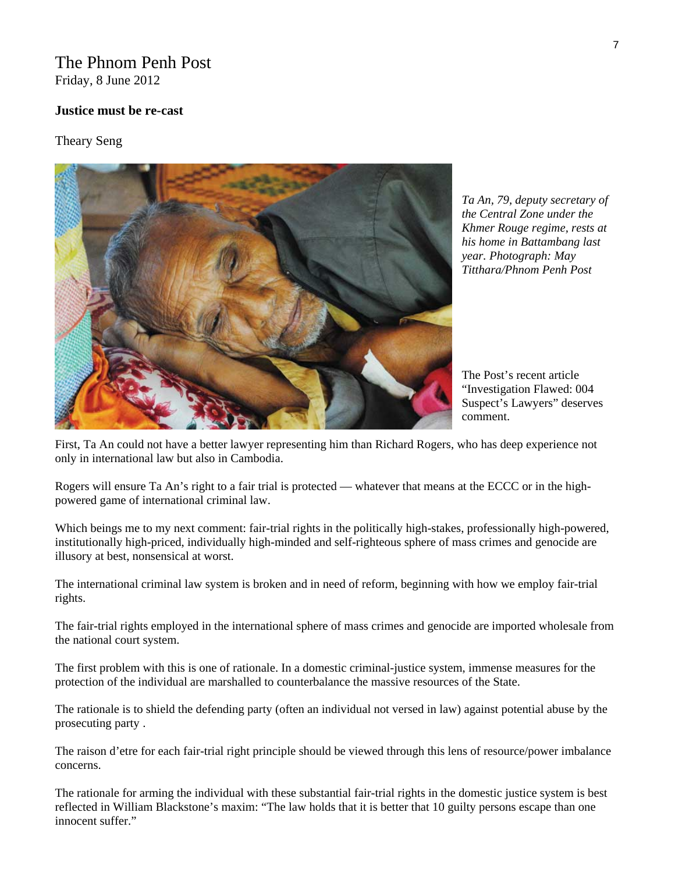# The Phnom Penh Post

Friday, 8 June 2012

#### **Justice must be re-cast**

Theary Seng



*Ta An, 79, deputy secretary of the Central Zone under the Khmer Rouge regime, rests at his home in Battambang last year. Photograph: May Titthara/Phnom Penh Post* 

The Post's recent article "Investigation Flawed: 004 Suspect's Lawyers" deserves comment.

First, Ta An could not have a better lawyer representing him than Richard Rogers, who has deep experience not only in international law but also in Cambodia.

Rogers will ensure Ta An's right to a fair trial is protected — whatever that means at the ECCC or in the highpowered game of international criminal law.

Which beings me to my next comment: fair-trial rights in the politically high-stakes, professionally high-powered, institutionally high-priced, individually high-minded and self-righteous sphere of mass crimes and genocide are illusory at best, nonsensical at worst.

The international criminal law system is broken and in need of reform, beginning with how we employ fair-trial rights.

The fair-trial rights employed in the international sphere of mass crimes and genocide are imported wholesale from the national court system.

The first problem with this is one of rationale. In a domestic criminal-justice system, immense measures for the protection of the individual are marshalled to counterbalance the massive resources of the State.

The rationale is to shield the defending party (often an individual not versed in law) against potential abuse by the prosecuting party .

The raison d'etre for each fair-trial right principle should be viewed through this lens of resource/power imbalance concerns.

The rationale for arming the individual with these substantial fair-trial rights in the domestic justice system is best reflected in William Blackstone's maxim: "The law holds that it is better that 10 guilty persons escape than one innocent suffer."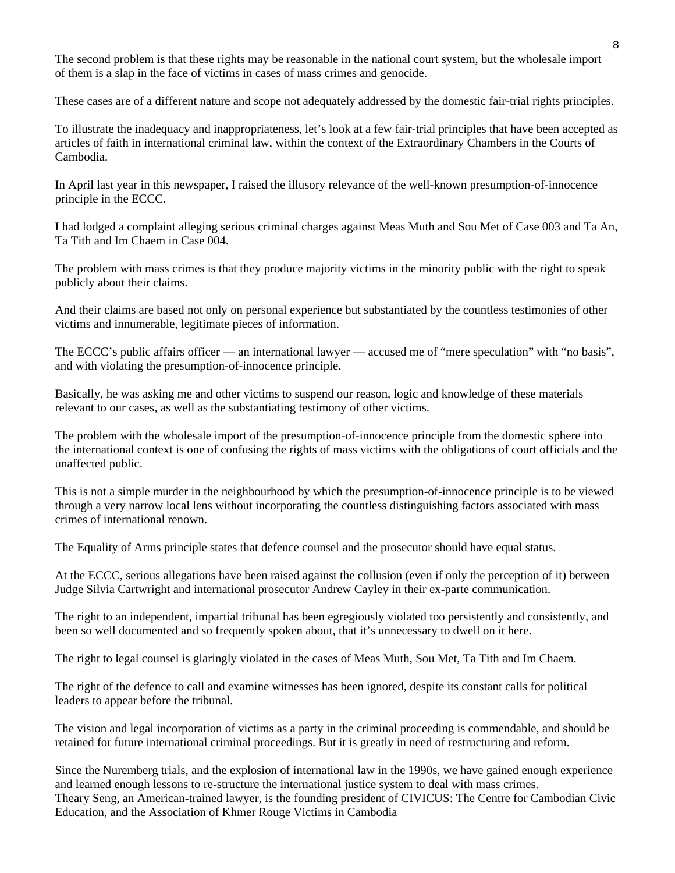The second problem is that these rights may be reasonable in the national court system, but the wholesale import of them is a slap in the face of victims in cases of mass crimes and genocide.

These cases are of a different nature and scope not adequately addressed by the domestic fair-trial rights principles.

To illustrate the inadequacy and inappropriateness, let's look at a few fair-trial principles that have been accepted as articles of faith in international criminal law, within the context of the Extraordinary Chambers in the Courts of Cambodia.

In April last year in this newspaper, I raised the illusory relevance of the well-known presumption-of-innocence principle in the ECCC.

I had lodged a complaint alleging serious criminal charges against Meas Muth and Sou Met of Case 003 and Ta An, Ta Tith and Im Chaem in Case 004.

The problem with mass crimes is that they produce majority victims in the minority public with the right to speak publicly about their claims.

And their claims are based not only on personal experience but substantiated by the countless testimonies of other victims and innumerable, legitimate pieces of information.

The ECCC's public affairs officer — an international lawyer — accused me of "mere speculation" with "no basis", and with violating the presumption-of-innocence principle.

Basically, he was asking me and other victims to suspend our reason, logic and knowledge of these materials relevant to our cases, as well as the substantiating testimony of other victims.

The problem with the wholesale import of the presumption-of-innocence principle from the domestic sphere into the international context is one of confusing the rights of mass victims with the obligations of court officials and the unaffected public.

This is not a simple murder in the neighbourhood by which the presumption-of-innocence principle is to be viewed through a very narrow local lens without incorporating the countless distinguishing factors associated with mass crimes of international renown.

The Equality of Arms principle states that defence counsel and the prosecutor should have equal status.

At the ECCC, serious allegations have been raised against the collusion (even if only the perception of it) between Judge Silvia Cartwright and international prosecutor Andrew Cayley in their ex-parte communication.

The right to an independent, impartial tribunal has been egregiously violated too persistently and consistently, and been so well documented and so frequently spoken about, that it's unnecessary to dwell on it here.

The right to legal counsel is glaringly violated in the cases of Meas Muth, Sou Met, Ta Tith and Im Chaem.

The right of the defence to call and examine witnesses has been ignored, despite its constant calls for political leaders to appear before the tribunal.

The vision and legal incorporation of victims as a party in the criminal proceeding is commendable, and should be retained for future international criminal proceedings. But it is greatly in need of restructuring and reform.

Since the Nuremberg trials, and the explosion of international law in the 1990s, we have gained enough experience and learned enough lessons to re-structure the international justice system to deal with mass crimes. Theary Seng, an American-trained lawyer, is the founding president of CIVICUS: The Centre for Cambodian Civic Education, and the Association of Khmer Rouge Victims in Cambodia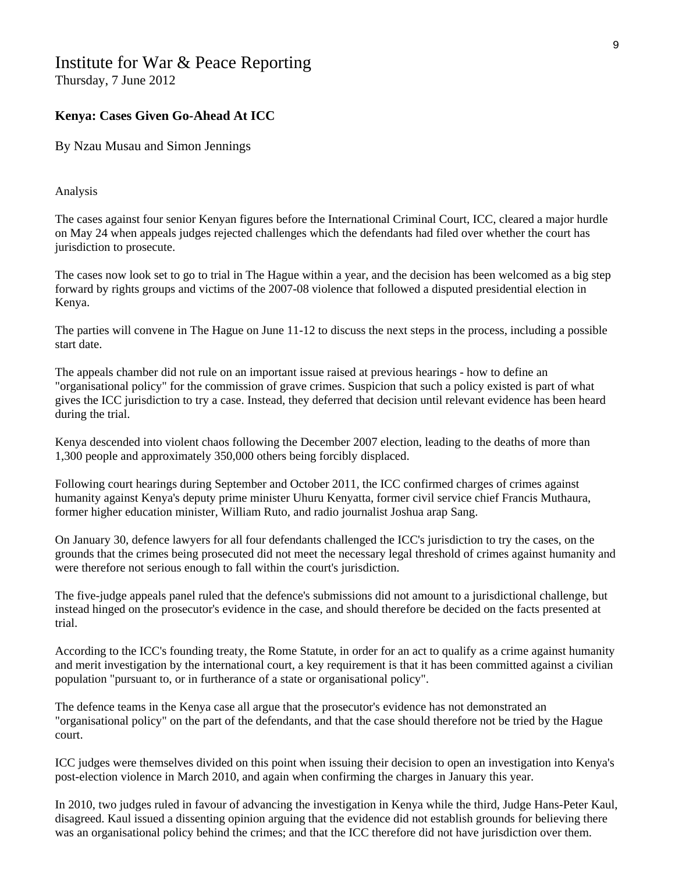# Institute for War & Peace Reporting

Thursday, 7 June 2012

#### **Kenya: Cases Given Go-Ahead At ICC**

By Nzau Musau and Simon Jennings

Analysis

The cases against four senior Kenyan figures before the International Criminal Court, ICC, cleared a major hurdle on May 24 when appeals judges rejected challenges which the defendants had filed over whether the court has jurisdiction to prosecute.

The cases now look set to go to trial in The Hague within a year, and the decision has been welcomed as a big step forward by rights groups and victims of the 2007-08 violence that followed a disputed presidential election in Kenya.

The parties will convene in The Hague on June 11-12 to discuss the next steps in the process, including a possible start date.

The appeals chamber did not rule on an important issue raised at previous hearings - how to define an "organisational policy" for the commission of grave crimes. Suspicion that such a policy existed is part of what gives the ICC jurisdiction to try a case. Instead, they deferred that decision until relevant evidence has been heard during the trial.

Kenya descended into violent chaos following the December 2007 election, leading to the deaths of more than 1,300 people and approximately 350,000 others being forcibly displaced.

Following court hearings during September and October 2011, the ICC confirmed charges of crimes against humanity against Kenya's deputy prime minister Uhuru Kenyatta, former civil service chief Francis Muthaura, former higher education minister, William Ruto, and radio journalist Joshua arap Sang.

On January 30, defence lawyers for all four defendants challenged the ICC's jurisdiction to try the cases, on the grounds that the crimes being prosecuted did not meet the necessary legal threshold of crimes against humanity and were therefore not serious enough to fall within the court's jurisdiction.

The five-judge appeals panel ruled that the defence's submissions did not amount to a jurisdictional challenge, but instead hinged on the prosecutor's evidence in the case, and should therefore be decided on the facts presented at trial.

According to the ICC's founding treaty, the Rome Statute, in order for an act to qualify as a crime against humanity and merit investigation by the international court, a key requirement is that it has been committed against a civilian population "pursuant to, or in furtherance of a state or organisational policy".

The defence teams in the Kenya case all argue that the prosecutor's evidence has not demonstrated an "organisational policy" on the part of the defendants, and that the case should therefore not be tried by the Hague court.

ICC judges were themselves divided on this point when issuing their decision to open an investigation into Kenya's post-election violence in March 2010, and again when confirming the charges in January this year.

In 2010, two judges ruled in favour of advancing the investigation in Kenya while the third, Judge Hans-Peter Kaul, disagreed. Kaul issued a dissenting opinion arguing that the evidence did not establish grounds for believing there was an organisational policy behind the crimes; and that the ICC therefore did not have jurisdiction over them.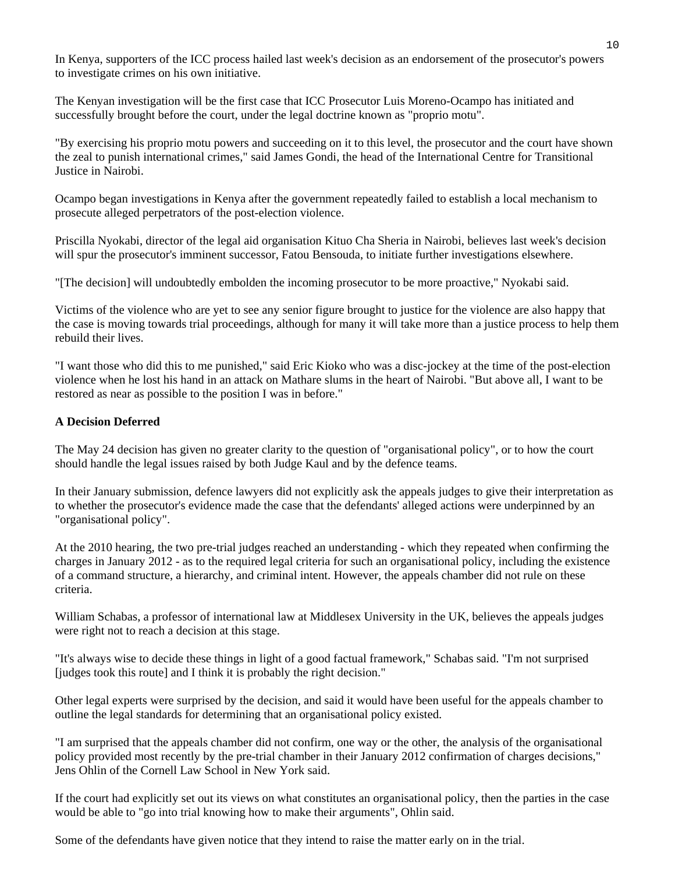In Kenya, supporters of the ICC process hailed last week's decision as an endorsement of the prosecutor's powers to investigate crimes on his own initiative.

The Kenyan investigation will be the first case that ICC Prosecutor Luis Moreno-Ocampo has initiated and successfully brought before the court, under the legal doctrine known as "proprio motu".

"By exercising his proprio motu powers and succeeding on it to this level, the prosecutor and the court have shown the zeal to punish international crimes," said James Gondi, the head of the International Centre for Transitional Justice in Nairobi.

Ocampo began investigations in Kenya after the government repeatedly failed to establish a local mechanism to prosecute alleged perpetrators of the post-election violence.

Priscilla Nyokabi, director of the legal aid organisation Kituo Cha Sheria in Nairobi, believes last week's decision will spur the prosecutor's imminent successor, Fatou Bensouda, to initiate further investigations elsewhere.

"[The decision] will undoubtedly embolden the incoming prosecutor to be more proactive," Nyokabi said.

Victims of the violence who are yet to see any senior figure brought to justice for the violence are also happy that the case is moving towards trial proceedings, although for many it will take more than a justice process to help them rebuild their lives.

"I want those who did this to me punished," said Eric Kioko who was a disc-jockey at the time of the post-election violence when he lost his hand in an attack on Mathare slums in the heart of Nairobi. "But above all, I want to be restored as near as possible to the position I was in before."

#### **A Decision Deferred**

The May 24 decision has given no greater clarity to the question of "organisational policy", or to how the court should handle the legal issues raised by both Judge Kaul and by the defence teams.

In their January submission, defence lawyers did not explicitly ask the appeals judges to give their interpretation as to whether the prosecutor's evidence made the case that the defendants' alleged actions were underpinned by an "organisational policy".

At the 2010 hearing, the two pre-trial judges reached an understanding - which they repeated when confirming the charges in January 2012 - as to the required legal criteria for such an organisational policy, including the existence of a command structure, a hierarchy, and criminal intent. However, the appeals chamber did not rule on these criteria.

William Schabas, a professor of international law at Middlesex University in the UK, believes the appeals judges were right not to reach a decision at this stage.

"It's always wise to decide these things in light of a good factual framework," Schabas said. "I'm not surprised [judges took this route] and I think it is probably the right decision."

Other legal experts were surprised by the decision, and said it would have been useful for the appeals chamber to outline the legal standards for determining that an organisational policy existed.

"I am surprised that the appeals chamber did not confirm, one way or the other, the analysis of the organisational policy provided most recently by the pre-trial chamber in their January 2012 confirmation of charges decisions," Jens Ohlin of the Cornell Law School in New York said.

If the court had explicitly set out its views on what constitutes an organisational policy, then the parties in the case would be able to "go into trial knowing how to make their arguments", Ohlin said.

Some of the defendants have given notice that they intend to raise the matter early on in the trial.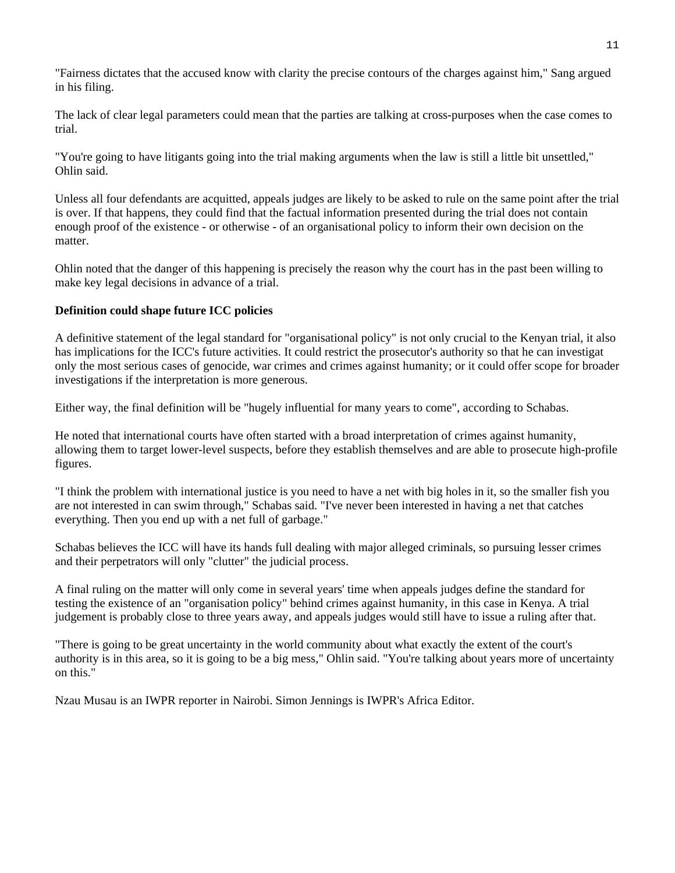"Fairness dictates that the accused know with clarity the precise contours of the charges against him," Sang argued in his filing.

The lack of clear legal parameters could mean that the parties are talking at cross-purposes when the case comes to trial.

"You're going to have litigants going into the trial making arguments when the law is still a little bit unsettled," Ohlin said.

Unless all four defendants are acquitted, appeals judges are likely to be asked to rule on the same point after the trial is over. If that happens, they could find that the factual information presented during the trial does not contain enough proof of the existence - or otherwise - of an organisational policy to inform their own decision on the matter.

Ohlin noted that the danger of this happening is precisely the reason why the court has in the past been willing to make key legal decisions in advance of a trial.

#### **Definition could shape future ICC policies**

A definitive statement of the legal standard for "organisational policy" is not only crucial to the Kenyan trial, it also has implications for the ICC's future activities. It could restrict the prosecutor's authority so that he can investigat only the most serious cases of genocide, war crimes and crimes against humanity; or it could offer scope for broader investigations if the interpretation is more generous.

Either way, the final definition will be "hugely influential for many years to come", according to Schabas.

He noted that international courts have often started with a broad interpretation of crimes against humanity, allowing them to target lower-level suspects, before they establish themselves and are able to prosecute high-profile figures.

"I think the problem with international justice is you need to have a net with big holes in it, so the smaller fish you are not interested in can swim through," Schabas said. "I've never been interested in having a net that catches everything. Then you end up with a net full of garbage."

Schabas believes the ICC will have its hands full dealing with major alleged criminals, so pursuing lesser crimes and their perpetrators will only "clutter" the judicial process.

A final ruling on the matter will only come in several years' time when appeals judges define the standard for testing the existence of an "organisation policy" behind crimes against humanity, in this case in Kenya. A trial judgement is probably close to three years away, and appeals judges would still have to issue a ruling after that.

"There is going to be great uncertainty in the world community about what exactly the extent of the court's authority is in this area, so it is going to be a big mess," Ohlin said. "You're talking about years more of uncertainty on this."

Nzau Musau is an IWPR reporter in Nairobi. Simon Jennings is IWPR's Africa Editor.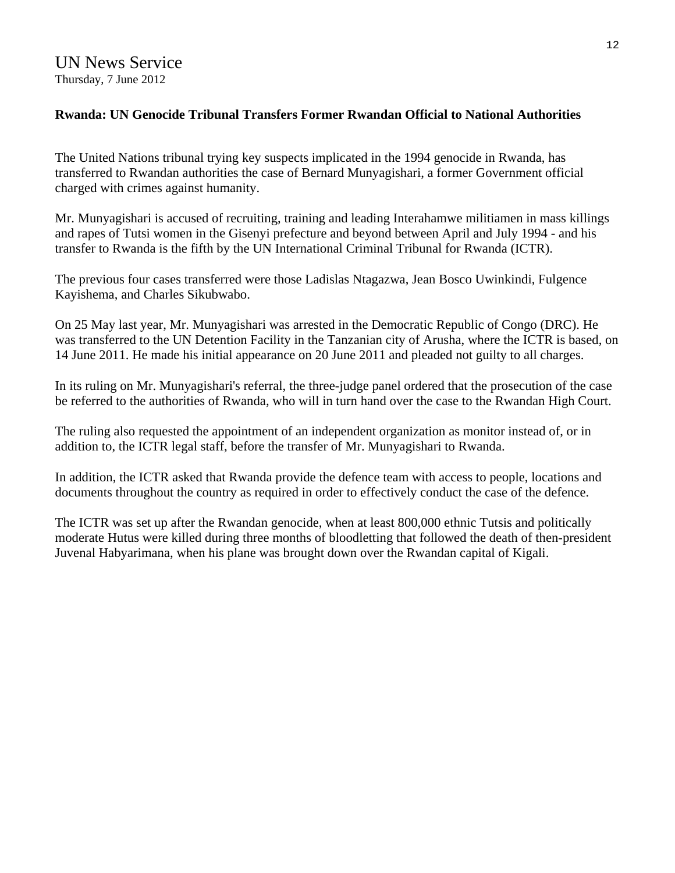## **Rwanda: UN Genocide Tribunal Transfers Former Rwandan Official to National Authorities**

The United Nations tribunal trying key suspects implicated in the 1994 genocide in Rwanda, has transferred to Rwandan authorities the case of Bernard Munyagishari, a former Government official charged with crimes against humanity.

Mr. Munyagishari is accused of recruiting, training and leading Interahamwe militiamen in mass killings and rapes of Tutsi women in the Gisenyi prefecture and beyond between April and July 1994 - and his transfer to Rwanda is the fifth by the UN International Criminal Tribunal for Rwanda (ICTR).

The previous four cases transferred were those Ladislas Ntagazwa, Jean Bosco Uwinkindi, Fulgence Kayishema, and Charles Sikubwabo.

On 25 May last year, Mr. Munyagishari was arrested in the Democratic Republic of Congo (DRC). He was transferred to the UN Detention Facility in the Tanzanian city of Arusha, where the ICTR is based, on 14 June 2011. He made his initial appearance on 20 June 2011 and pleaded not guilty to all charges.

In its ruling on Mr. Munyagishari's referral, the three-judge panel ordered that the prosecution of the case be referred to the authorities of Rwanda, who will in turn hand over the case to the Rwandan High Court.

The ruling also requested the appointment of an independent organization as monitor instead of, or in addition to, the ICTR legal staff, before the transfer of Mr. Munyagishari to Rwanda.

In addition, the ICTR asked that Rwanda provide the defence team with access to people, locations and documents throughout the country as required in order to effectively conduct the case of the defence.

The ICTR was set up after the Rwandan genocide, when at least 800,000 ethnic Tutsis and politically moderate Hutus were killed during three months of bloodletting that followed the death of then-president Juvenal Habyarimana, when his plane was brought down over the Rwandan capital of Kigali.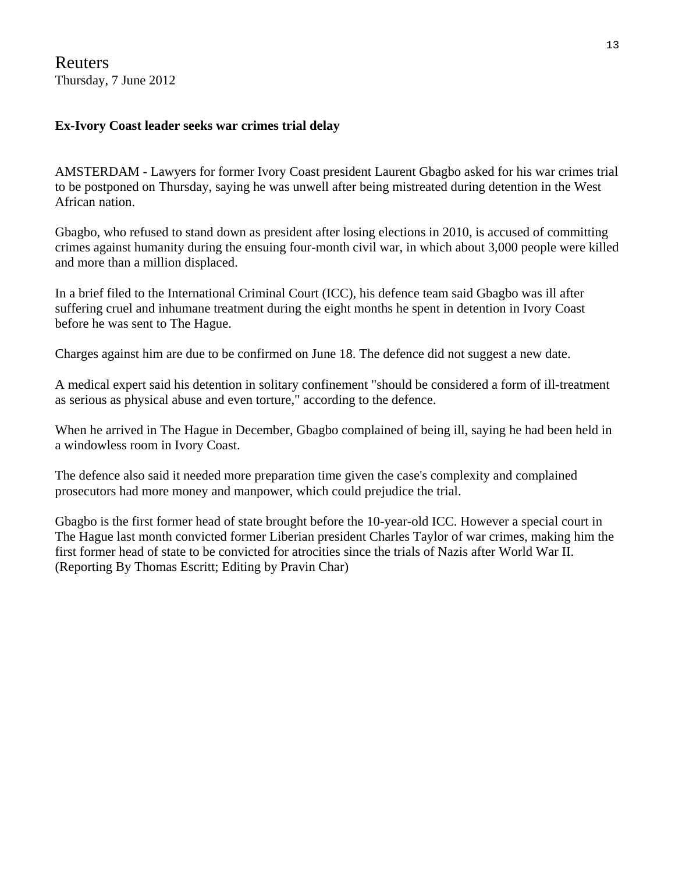Reuters Thursday, 7 June 2012

## **Ex-Ivory Coast leader seeks war crimes trial delay**

AMSTERDAM - Lawyers for former Ivory Coast president Laurent Gbagbo asked for his war crimes trial to be postponed on Thursday, saying he was unwell after being mistreated during detention in the West African nation.

Gbagbo, who refused to stand down as president after losing elections in 2010, is accused of committing crimes against humanity during the ensuing four-month civil war, in which about 3,000 people were killed and more than a million displaced.

In a brief filed to the International Criminal Court (ICC), his defence team said Gbagbo was ill after suffering cruel and inhumane treatment during the eight months he spent in detention in Ivory Coast before he was sent to The Hague.

Charges against him are due to be confirmed on June 18. The defence did not suggest a new date.

A medical expert said his detention in solitary confinement "should be considered a form of ill-treatment as serious as physical abuse and even torture," according to the defence.

When he arrived in The Hague in December, Gbagbo complained of being ill, saying he had been held in a windowless room in Ivory Coast.

The defence also said it needed more preparation time given the case's complexity and complained prosecutors had more money and manpower, which could prejudice the trial.

Gbagbo is the first former head of state brought before the 10-year-old ICC. However a special court in The Hague last month convicted former Liberian president Charles Taylor of war crimes, making him the first former head of state to be convicted for atrocities since the trials of Nazis after World War II. (Reporting By Thomas Escritt; Editing by Pravin Char)